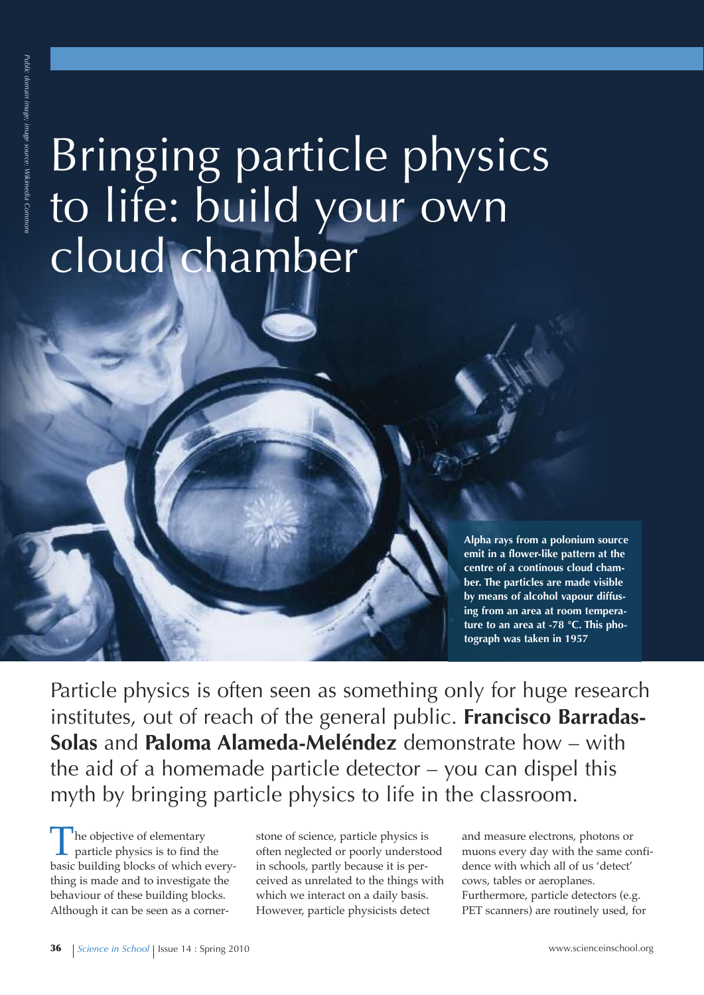# Bringing particle physics to life: build your own cloud chamber

**Alpha rays from a polonium source emit in a flower-like pattern at the centre of a continous cloud chamber. The particles are made visible by means of alcohol vapour diffusing from an area at room temperature to an area at -78 °C. This photograph was taken in 1957**

Particle physics is often seen as something only for huge research institutes, out of reach of the general public. **Francisco Barradas-Solas** and **Paloma Alameda-Meléndez** demonstrate how – with the aid of a homemade particle detector – you can dispel this myth by bringing particle physics to life in the classroom.

The objective of elementary<br>particle physics is to find the<br>hasia building blacks of subjekts as basic building blocks of which everything is made and to investigate the behaviour of these building blocks. Although it can be seen as a corner-

stone of science, particle physics is often neglected or poorly understood in schools, partly because it is perceived as unrelated to the things with which we interact on a daily basis. However, particle physicists detect

and measure electrons, photons or muons every day with the same confidence with which all of us 'detect' cows, tables or aeroplanes. Furthermore, particle detectors (e.g. PET scanners) are routinely used, for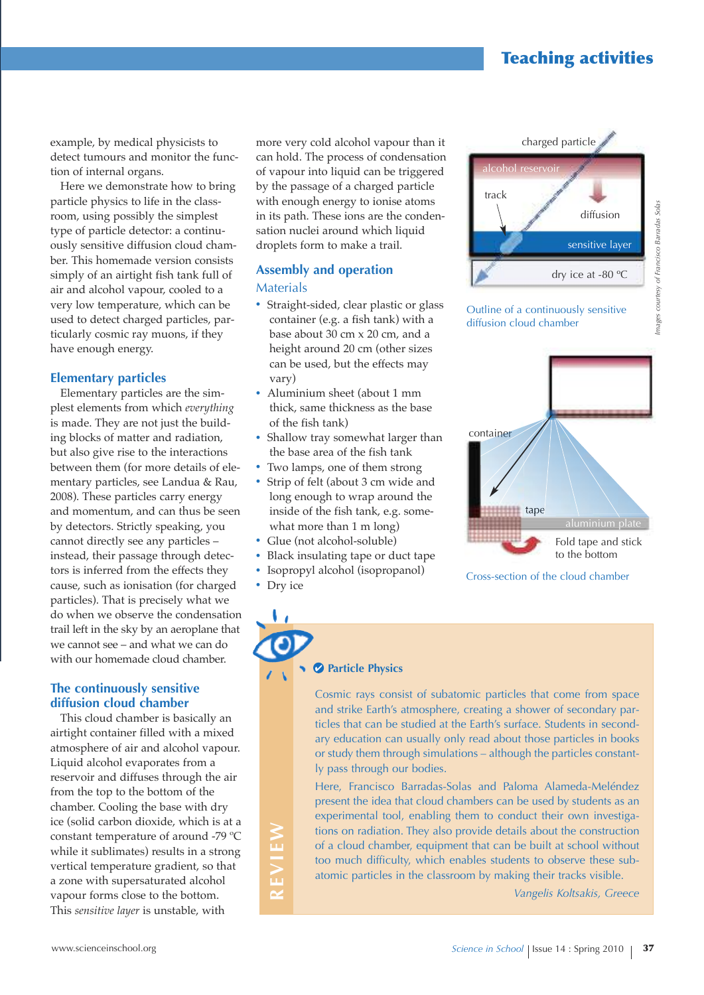## **Teaching activities**

example, by medical physicists to detect tumours and monitor the function of internal organs.

Here we demonstrate how to bring particle physics to life in the classroom, using possibly the simplest type of particle detector: a continuously sensitive diffusion cloud chamber. This homemade version consists simply of an airtight fish tank full of air and alcohol vapour, cooled to a very low temperature, which can be used to detect charged particles, particularly cosmic ray muons, if they have enough energy.

#### **Elementary particles**

Elementary particles are the simplest elements from which *everything* is made. They are not just the building blocks of matter and radiation, but also give rise to the interactions between them (for more details of elementary particles, see Landua & Rau, 2008). These particles carry energy and momentum, and can thus be seen by detectors. Strictly speaking, you cannot directly see any particles – instead, their passage through detectors is inferred from the effects they cause, such as ionisation (for charged particles). That is precisely what we do when we observe the condensation trail left in the sky by an aeroplane that we cannot see – and what we can do with our homemade cloud chamber.

#### **The continuously sensitive diffusion cloud chamber**

This cloud chamber is basically an airtight container filled with a mixed atmosphere of air and alcohol vapour. Liquid alcohol evaporates from a reservoir and diffuses through the air from the top to the bottom of the chamber. Cooling the base with dry ice (solid carbon dioxide, which is at a constant temperature of around -79 ºC while it sublimates) results in a strong vertical temperature gradient, so that a zone with supersaturated alcohol vapour forms close to the bottom. This *sensitive layer* is unstable, with

more very cold alcohol vapour than it can hold. The process of condensation of vapour into liquid can be triggered by the passage of a charged particle with enough energy to ionise atoms in its path. These ions are the condensation nuclei around which liquid droplets form to make a trail.

### **Assembly and operation** Materials

- **·** Straight-sided, clear plastic or glass container (e.g. a fish tank) with a base about 30 cm x 20 cm, and a height around 20 cm (other sizes can be used, but the effects may vary)
- **·** Aluminium sheet (about <sup>1</sup> mm thick, same thickness as the base of the fish tank)
- **·** Shallow tray somewhat larger than the base area of the fish tank
- **·** Two lamps, one of them strong
- **·** Strip of felt (about <sup>3</sup> cm wide and long enough to wrap around the inside of the fish tank, e.g. somewhat more than 1 m long)
- **·** Glue (not alcohol-soluble)
- **·** Black insulating tape or duct tape
- **·** Isopropyl alcohol (isopropanol)
- **·** Dry ice

**R**

**E**

**vIE**

**W**



Outline of a continuously sensitive





Cross-section of the cloud chamber

**Particle Physics**

Cosmic rays consist of subatomic particles that come from space and strike Earth's atmosphere, creating a shower of secondary particles that can be studied at the Earth's surface. Students in secondary education can usually only read about those particles in books or study them through simulations – although the particles constantly pass through our bodies.

Here, Francisco Barradas-Solas and Paloma Alameda-Meléndez present the idea that cloud chambers can be used by students as an experimental tool, enabling them to conduct their own investigations on radiation. They also provide details about the construction of a cloud chamber, equipment that can be built at school without too much difficulty, which enables students to observe these subatomic particles in the classroom by making their tracks visible.

*Vangelis Koltsakis, Greece*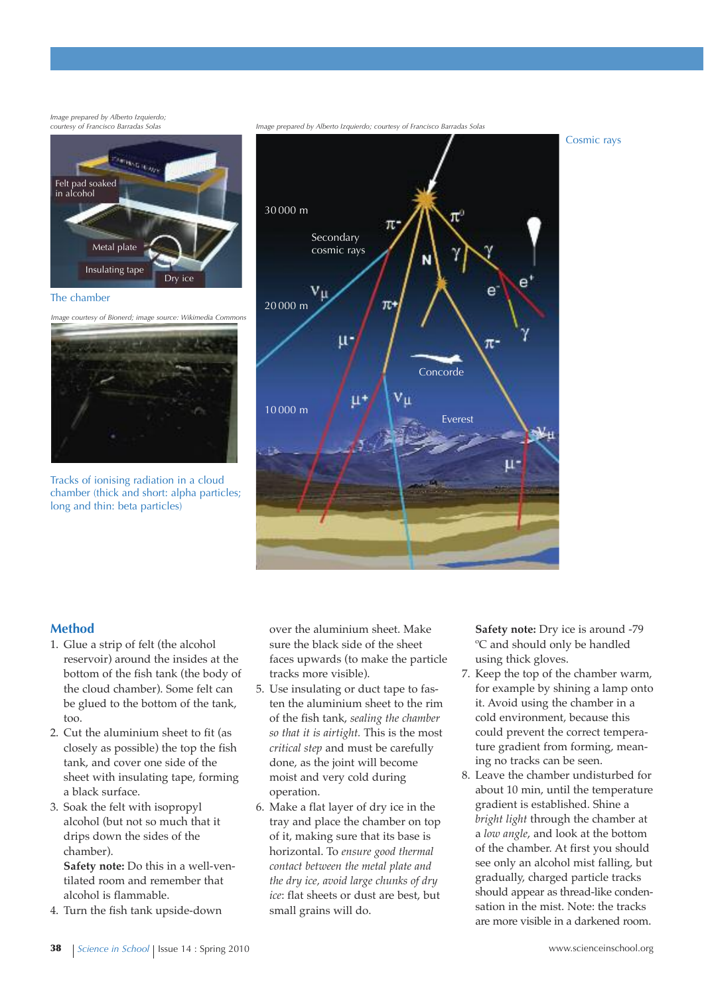## *Image prepared by Alberto Izquierdo;*



#### The chamber

*Image courtesy of Bionerd; image source: Wikimedia Commons*



Tracks of ionising radiation in a cloud chamber (thick and short: alpha particles; long and thin: beta particles)



*courtesy of Francisco Barradas Solas Image prepared by Alberto Izquierdo; courtesy of Francisco Barradas Solas*

#### **Method**

- 1. Glue a strip of felt (the alcohol reservoir) around the insides at the bottom of the fish tank (the body of the cloud chamber). Some felt can be glued to the bottom of the tank, too.
- 2. Cut the aluminium sheet to fit (as closely as possible) the top the fish tank, and cover one side of the sheet with insulating tape, forming a black surface.
- 3. Soak the felt with isopropyl alcohol (but not so much that it drips down the sides of the chamber).

**Safety note:** Do this in a well-ventilated room and remember that alcohol is flammable.

4. Turn the fish tank upside-down

over the aluminium sheet. Make sure the black side of the sheet faces upwards (to make the particle tracks more visible).

- 5. Use insulating or duct tape to fasten the aluminium sheet to the rim of the fish tank, *sealing the chamber so that it is airtight.* This is the most *critical step* and must be carefully done, as the joint will become moist and very cold during operation.
- 6. Make a flat layer of dry ice in the tray and place the chamber on top of it, making sure that its base is horizontal. To *ensure good thermal contact between the metal plate and the dry ice, avoid large chunks of dry ice*: flat sheets or dust are best, but small grains will do.

**Safety note:** Dry ice is around -79 ºC and should only be handled using thick gloves.

- 7. Keep the top of the chamber warm, for example by shining a lamp onto it. Avoid using the chamber in a cold environment, because this could prevent the correct temperature gradient from forming, meaning no tracks can be seen.
- 8. Leave the chamber undisturbed for about 10 min, until the temperature gradient is established. Shine a *bright light* through the chamber at a *low angle*, and look at the bottom of the chamber. At first you should see only an alcohol mist falling, but gradually, charged particle tracks should appear as thread-like condensation in the mist. Note: the tracks are more visible in a darkened room.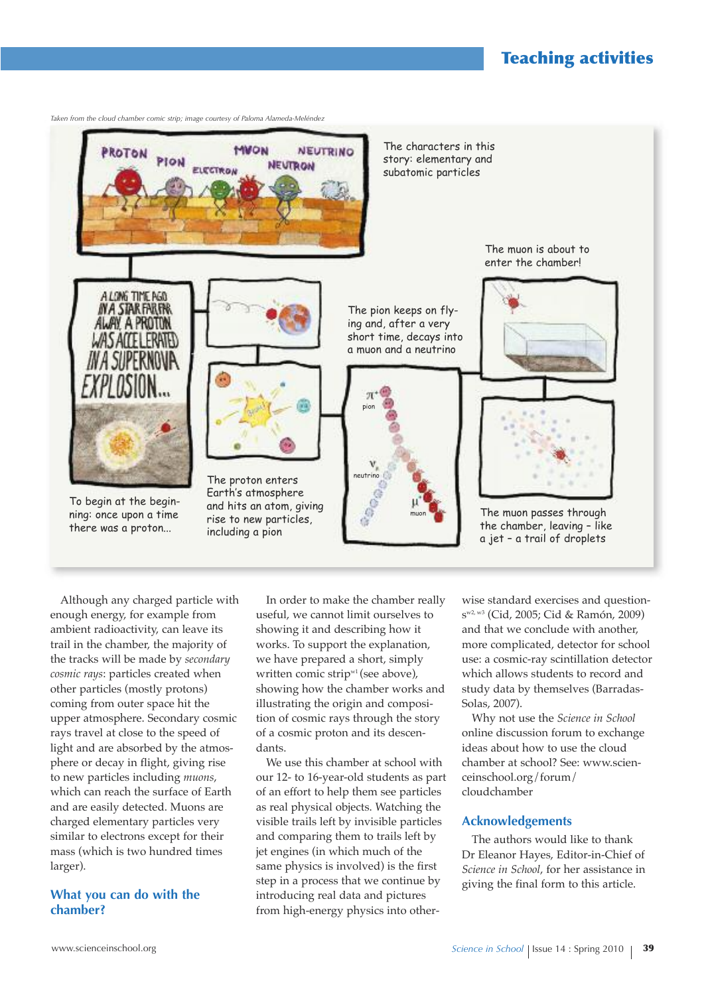## **Teaching activities**



Although any charged particle with enough energy, for example from ambient radioactivity, can leave its trail in the chamber, the majority of the tracks will be made by *secondary cosmic rays*: particles created when other particles (mostly protons) coming from outer space hit the upper atmosphere. Secondary cosmic rays travel at close to the speed of light and are absorbed by the atmosphere or decay in flight, giving rise to new particles including *muons*, which can reach the surface of Earth and are easily detected. Muons are charged elementary particles very similar to electrons except for their mass (which is two hundred times larger).

#### **What you can do with the chamber?**

In order to make the chamber really useful, we cannot limit ourselves to showing it and describing how it works. To support the explanation, we have prepared a short, simply written comic strip<sup>w1</sup> (see above), showing how the chamber works and illustrating the origin and composition of cosmic rays through the story of a cosmic proton and its descendants.

We use this chamber at school with our 12- to 16-year-old students as part of an effort to help them see particles as real physical objects. Watching the visible trails left by invisible particles and comparing them to trails left by jet engines (in which much of the same physics is involved) is the first step in a process that we continue by introducing real data and pictures from high-energy physics into otherwise standard exercises and questions<sup>w2, w3</sup> (Cid, 2005; Cid & Ramón, 2009) and that we conclude with another, more complicated, detector for school use: a cosmic-ray scintillation detector which allows students to record and study data by themselves (Barradas-Solas, 2007).

Why not use the *Science in School* online discussion forum to exchange ideas about how to use the cloud chamber at school? See: www.scienceinschool.org/forum/ cloudchamber

#### **Acknowledgements**

The authors would like to thank Dr Eleanor Hayes, Editor-in-Chief of *Science in School*, for her assistance in giving the final form to this article.